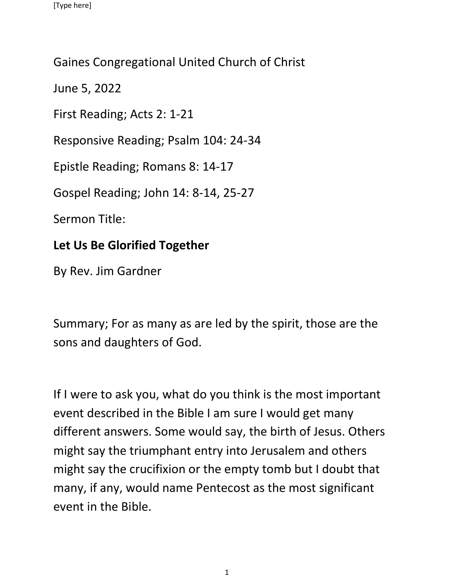## Gaines Congregational United Church of Christ

June 5, 2022

First Reading; Acts 2: 1-21

Responsive Reading; Psalm 104: 24-34

Epistle Reading; Romans 8: 14-17

Gospel Reading; John 14: 8-14, 25-27

Sermon Title:

## **Let Us Be Glorified Together**

By Rev. Jim Gardner

Summary; For as many as are led by the spirit, those are the sons and daughters of God.

If I were to ask you, what do you think is the most important event described in the Bible I am sure I would get many different answers. Some would say, the birth of Jesus. Others might say the triumphant entry into Jerusalem and others might say the crucifixion or the empty tomb but I doubt that many, if any, would name Pentecost as the most significant event in the Bible.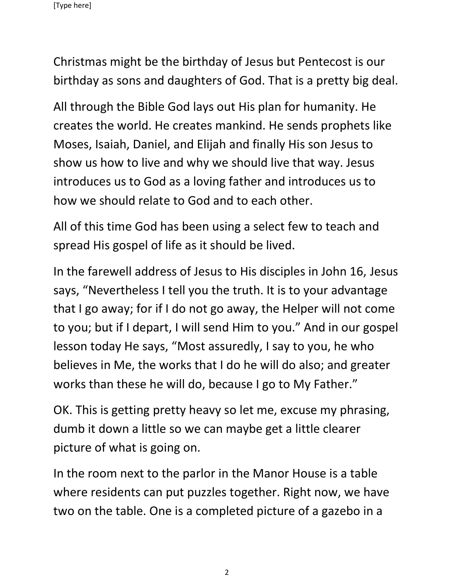Christmas might be the birthday of Jesus but Pentecost is our birthday as sons and daughters of God. That is a pretty big deal.

All through the Bible God lays out His plan for humanity. He creates the world. He creates mankind. He sends prophets like Moses, Isaiah, Daniel, and Elijah and finally His son Jesus to show us how to live and why we should live that way. Jesus introduces us to God as a loving father and introduces us to how we should relate to God and to each other.

All of this time God has been using a select few to teach and spread His gospel of life as it should be lived.

In the farewell address of Jesus to His disciples in John 16, Jesus says, "Nevertheless I tell you the truth. It is to your advantage that I go away; for if I do not go away, the Helper will not come to you; but if I depart, I will send Him to you." And in our gospel lesson today He says, "Most assuredly, I say to you, he who believes in Me, the works that I do he will do also; and greater works than these he will do, because I go to My Father."

OK. This is getting pretty heavy so let me, excuse my phrasing, dumb it down a little so we can maybe get a little clearer picture of what is going on.

In the room next to the parlor in the Manor House is a table where residents can put puzzles together. Right now, we have two on the table. One is a completed picture of a gazebo in a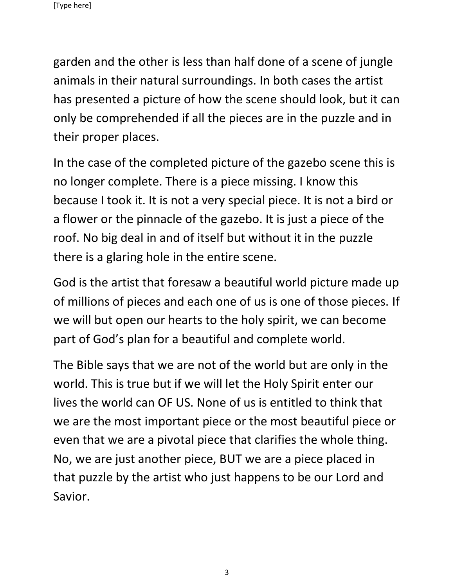garden and the other is less than half done of a scene of jungle animals in their natural surroundings. In both cases the artist has presented a picture of how the scene should look, but it can only be comprehended if all the pieces are in the puzzle and in their proper places.

In the case of the completed picture of the gazebo scene this is no longer complete. There is a piece missing. I know this because I took it. It is not a very special piece. It is not a bird or a flower or the pinnacle of the gazebo. It is just a piece of the roof. No big deal in and of itself but without it in the puzzle there is a glaring hole in the entire scene.

God is the artist that foresaw a beautiful world picture made up of millions of pieces and each one of us is one of those pieces. If we will but open our hearts to the holy spirit, we can become part of God's plan for a beautiful and complete world.

The Bible says that we are not of the world but are only in the world. This is true but if we will let the Holy Spirit enter our lives the world can OF US. None of us is entitled to think that we are the most important piece or the most beautiful piece or even that we are a pivotal piece that clarifies the whole thing. No, we are just another piece, BUT we are a piece placed in that puzzle by the artist who just happens to be our Lord and Savior.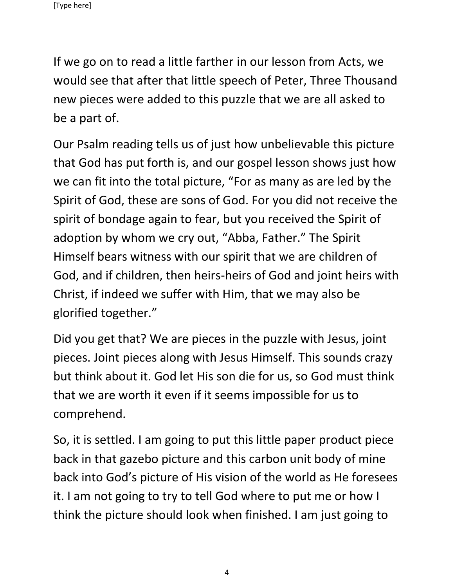If we go on to read a little farther in our lesson from Acts, we would see that after that little speech of Peter, Three Thousand new pieces were added to this puzzle that we are all asked to be a part of.

Our Psalm reading tells us of just how unbelievable this picture that God has put forth is, and our gospel lesson shows just how we can fit into the total picture, "For as many as are led by the Spirit of God, these are sons of God. For you did not receive the spirit of bondage again to fear, but you received the Spirit of adoption by whom we cry out, "Abba, Father." The Spirit Himself bears witness with our spirit that we are children of God, and if children, then heirs-heirs of God and joint heirs with Christ, if indeed we suffer with Him, that we may also be glorified together."

Did you get that? We are pieces in the puzzle with Jesus, joint pieces. Joint pieces along with Jesus Himself. This sounds crazy but think about it. God let His son die for us, so God must think that we are worth it even if it seems impossible for us to comprehend.

So, it is settled. I am going to put this little paper product piece back in that gazebo picture and this carbon unit body of mine back into God's picture of His vision of the world as He foresees it. I am not going to try to tell God where to put me or how I think the picture should look when finished. I am just going to